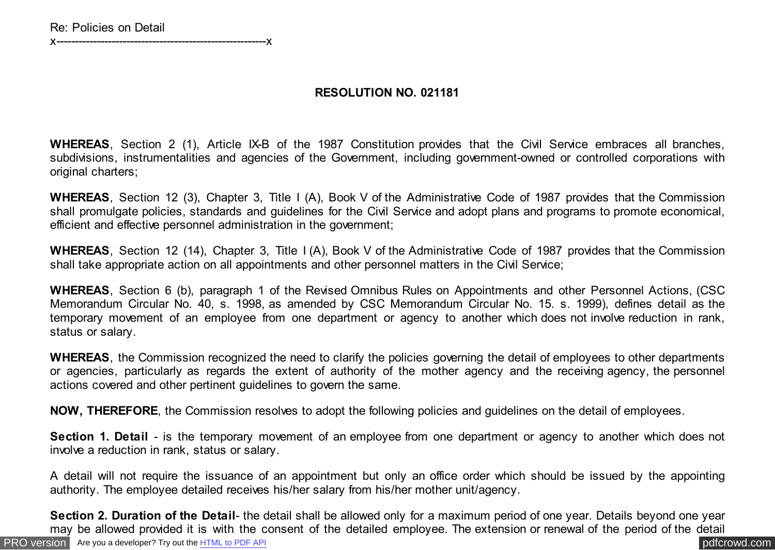x---------------------------------------------------------x

## **RESOLUTION NO. 021181**

**WHEREAS**, Section 2 (1), Article IX-B of the 1987 Constitution provides that the Civil Service embraces all branches, subdivisions, instrumentalities and agencies of the Government, including government-owned or controlled corporations with original charters;

**WHEREAS**, Section 12 (3), Chapter 3, Title I (A), Book V of the Administrative Code of 1987 provides that the Commission shall promulgate policies, standards and guidelines for the Civil Service and adopt plans and programs to promote economical, efficient and effective personnel administration in the government;

**WHEREAS**, Section 12 (14), Chapter 3, Title I (A), Book V of the Administrative Code of 1987 provides that the Commission shall take appropriate action on all appointments and other personnel matters in the Civil Service;

**WHEREAS**, Section 6 (b), paragraph 1 of the Revised Omnibus Rules on Appointments and other Personnel Actions, (CSC Memorandum Circular No. 40, s. 1998, as amended by CSC Memorandum Circular No. 15. s. 1999), defines detail as the temporary movement of an employee from one department or agency to another which does not involve reduction in rank, status or salary.

**WHEREAS**, the Commission recognized the need to clarify the policies governing the detail of employees to other departments or agencies, particularly as regards the extent of authority of the mother agency and the receiving agency, the personnel actions covered and other pertinent guidelines to govern the same.

**NOW, THEREFORE**, the Commission resolves to adopt the following policies and guidelines on the detail of employees.

**Section 1. Detail** - is the temporary movement of an employee from one department or agency to another which does not involve a reduction in rank, status or salary.

A detail will not require the issuance of an appointment but only an office order which should be issued by the appointing authority. The employee detailed receives his/her salary from his/her mother unit/agency.

[PRO version](http://pdfcrowd.com/customize/) Are you a developer? Try out th[e HTML to PDF API](http://pdfcrowd.com/html-to-pdf-api/?ref=pdf) compared to the comparison of the HTML to PDF API **Section 2. Duration of the Detail**- the detail shall be allowed only for a maximum period of one year. Details beyond one year may be allowed provided it is with the consent of the detailed employee. The extension or renewal of the period of the detail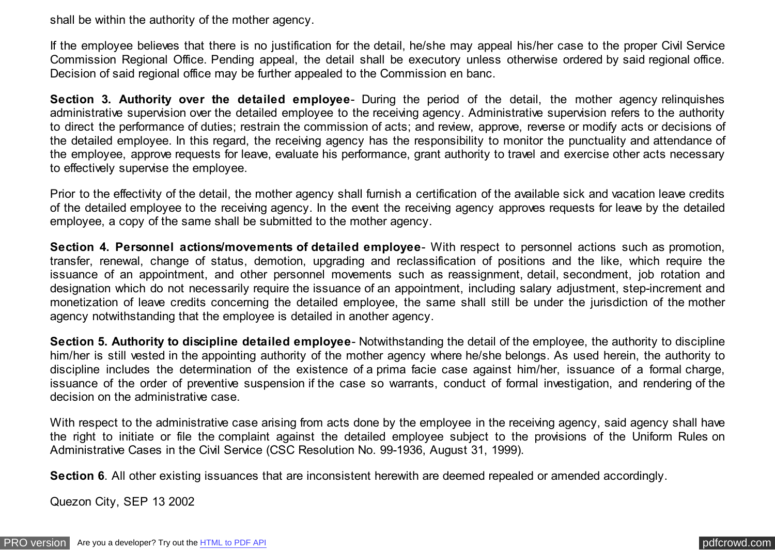shall be within the authority of the mother agency.

If the employee believes that there is no justification for the detail, he/she may appeal his/her case to the proper Civil Service Commission Regional Office. Pending appeal, the detail shall be executory unless otherwise ordered by said regional office. Decision of said regional office may be further appealed to the Commission en banc.

**Section 3. Authority over the detailed employee**- During the period of the detail, the mother agency relinquishes administrative supervision over the detailed employee to the receiving agency. Administrative supervision refers to the authority to direct the performance of duties; restrain the commission of acts; and review, approve, reverse or modify acts or decisions of the detailed employee. In this regard, the receiving agency has the responsibility to monitor the punctuality and attendance of the employee, approve requests for leave, evaluate his performance, grant authority to travel and exercise other acts necessary to effectively supervise the employee.

Prior to the effectivity of the detail, the mother agency shall furnish a certification of the available sick and vacation leave credits of the detailed employee to the receiving agency. In the event the receiving agency approves requests for leave by the detailed employee, a copy of the same shall be submitted to the mother agency.

**Section 4. Personnel actions/movements of detailed employee**- With respect to personnel actions such as promotion, transfer, renewal, change of status, demotion, upgrading and reclassification of positions and the like, which require the issuance of an appointment, and other personnel movements such as reassignment, detail, secondment, job rotation and designation which do not necessarily require the issuance of an appointment, including salary adjustment, step-increment and monetization of leave credits concerning the detailed employee, the same shall still be under the jurisdiction of the mother agency notwithstanding that the employee is detailed in another agency.

**Section 5. Authority to discipline detailed employee**- Notwithstanding the detail of the employee, the authority to discipline him/her is still vested in the appointing authority of the mother agency where he/she belongs. As used herein, the authority to discipline includes the determination of the existence of a prima facie case against him/her, issuance of a formal charge, issuance of the order of preventive suspension if the case so warrants, conduct of formal investigation, and rendering of the decision on the administrative case.

With respect to the administrative case arising from acts done by the employee in the receiving agency, said agency shall have the right to initiate or file the complaint against the detailed employee subject to the provisions of the Uniform Rules on Administrative Cases in the Civil Service (CSC Resolution No. 99-1936, August 31, 1999).

**Section 6**. All other existing issuances that are inconsistent herewith are deemed repealed or amended accordingly.

Quezon City, SEP 13 2002